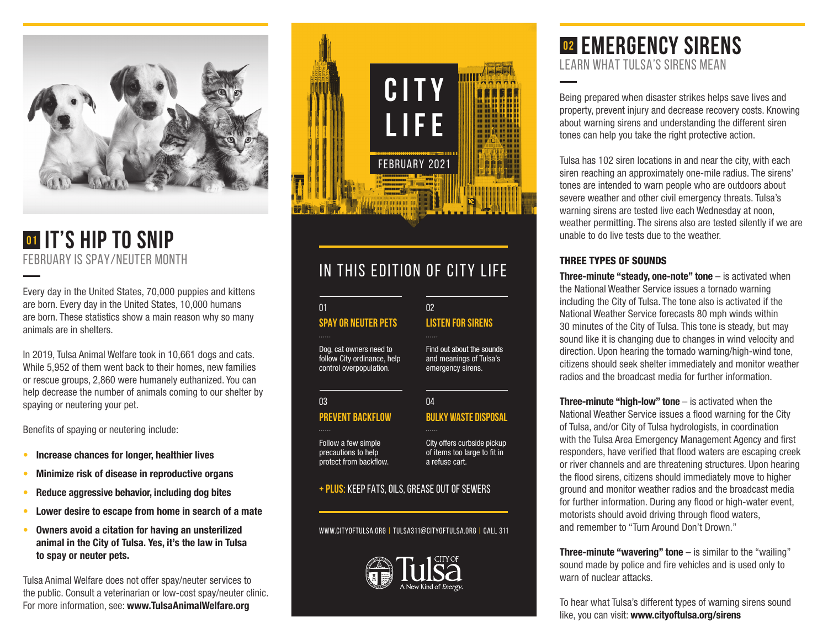

## **01 It's Hip to Snip** FEBRUARY IS SPAY/NEUTER MONTH

Every day in the United States, 70,000 puppies and kittens are born. Every day in the United States, 10,000 humans are born. These statistics show a main reason why so many animals are in shelters.

In 2019, Tulsa Animal Welfare took in 10,661 dogs and cats. While 5,952 of them went back to their homes, new families or rescue groups, 2,860 were humanely euthanized. You can help decrease the number of animals coming to our shelter by spaying or neutering your pet.

Benefits of spaying or neutering include:

- **• Increase chances for longer, healthier lives**
- **• Minimize risk of disease in reproductive organs**
- **• Reduce aggressive behavior, including dog bites**
- **• Lower desire to escape from home in search of a mate**
- **• Owners avoid a citation for having an unsterilized animal in the City of Tulsa. Yes, it's the law in Tulsa to spay or neuter pets.**

Tulsa Animal Welfare does not offer spay/neuter services to the public. Consult a veterinarian or low-cost spay/neuter clinic. For more information, see: **www.TulsaAnimalWelfare.org**



## IN THIS EDITION OF CITY LIFE

#### **SPAY OR NEUTER PETS** 01

Dog, cat owners need to follow City ordinance, help control overpopulation.

#### 03

**PREVENT BACKFLOW**

protect from backflow.

Follow a few simple precautions to help

City offers curbside pickup of items too large to fit in a refuse cart.

**LISTEN FOR SIRENS**

#### **+ PLUS:** KEEP FATS, OILS, GREASE OUT OF SEWERS

www.cityoftulsa.org | tulsa311@cityoftulsa.org | CALL 311



## **02 Emergency Sirens LEARN WHAT TULSA'S SIRENS MEAN**

Being prepared when disaster strikes helps save lives and property, prevent injury and decrease recovery costs. Knowing about warning sirens and understanding the different siren tones can help you take the right protective action.

Tulsa has 102 siren locations in and near the city, with each siren reaching an approximately one-mile radius. The sirens' tones are intended to warn people who are outdoors about severe weather and other civil emergency threats. Tulsa's warning sirens are tested live each Wednesday at noon, weather permitting. The sirens also are tested silently if we are unable to do live tests due to the weather.

#### THREE TYPES OF SOUNDS

**Three-minute "steady, one-note" tone** – is activated when the National Weather Service issues a tornado warning including the City of Tulsa. The tone also is activated if the National Weather Service forecasts 80 mph winds within 30 minutes of the City of Tulsa. This tone is steady, but may sound like it is changing due to changes in wind velocity and direction. Upon hearing the tornado warning/high-wind tone, citizens should seek shelter immediately and monitor weather radios and the broadcast media for further information.

**Three-minute "high-low" tone** – is activated when the National Weather Service issues a flood warning for the City of Tulsa, and/or City of Tulsa hydrologists, in coordination with the Tulsa Area Emergency Management Agency and first responders, have verified that flood waters are escaping creek or river channels and are threatening structures. Upon hearing the flood sirens, citizens should immediately move to higher ground and monitor weather radios and the broadcast media for further information. During any flood or high-water event, motorists should avoid driving through flood waters, and remember to "Turn Around Don't Drown."

**Three-minute "wavering" tone** – is similar to the "wailing" sound made by police and fire vehicles and is used only to warn of nuclear attacks.

To hear what Tulsa's different types of warning sirens sound like, you can visit: **www.cityoftulsa.org/sirens**

Find out about the sounds and meanings of Tulsa's emergency sirens.

02

#### **BULKY WASTE DISPOSAL**  $\overline{04}$